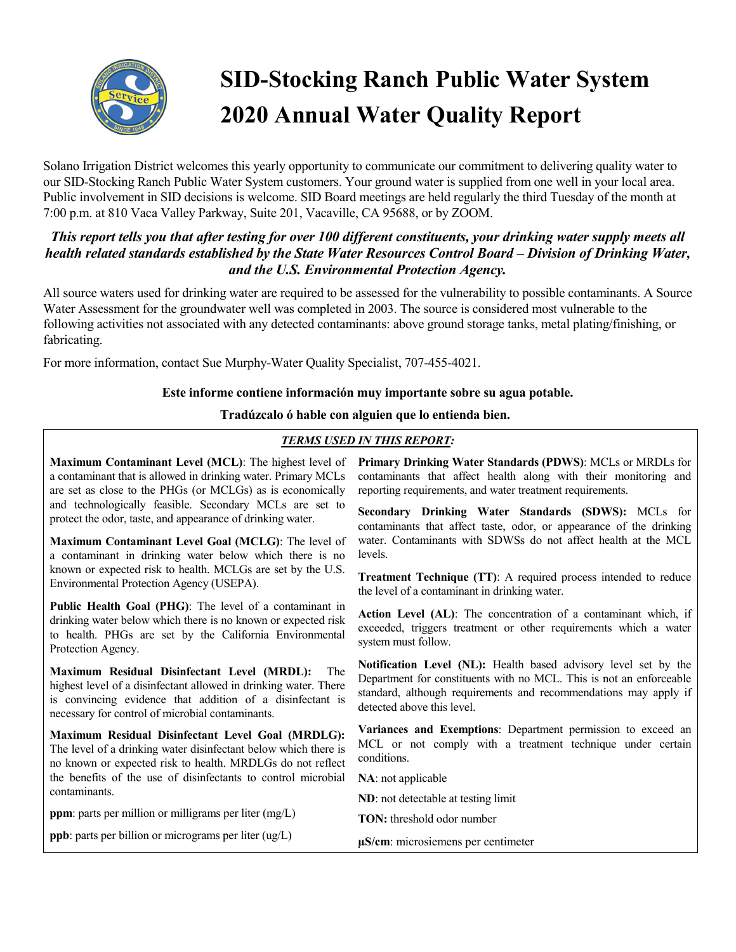

# **SID-Stocking Ranch Public Water System 2020 Annual Water Quality Report**

Solano Irrigation District welcomes this yearly opportunity to communicate our commitment to delivering quality water to our SID-Stocking Ranch Public Water System customers. Your ground water is supplied from one well in your local area. Public involvement in SID decisions is welcome. SID Board meetings are held regularly the third Tuesday of the month at 7:00 p.m. at 810 Vaca Valley Parkway, Suite 201, Vacaville, CA 95688, or by ZOOM.

### *This report tells you that after testing for over 100 different constituents, your drinking water supply meets all health related standards established by the State Water Resources Control Board – Division of Drinking Water, and the U.S. Environmental Protection Agency.*

All source waters used for drinking water are required to be assessed for the vulnerability to possible contaminants. A Source Water Assessment for the groundwater well was completed in 2003. The source is considered most vulnerable to the following activities not associated with any detected contaminants: above ground storage tanks, metal plating/finishing, or fabricating.

For more information, contact Sue Murphy-Water Quality Specialist, 707-455-4021.

#### **Este informe contiene información muy importante sobre su agua potable.**

#### **Tradúzcalo ó hable con alguien que lo entienda bien.**

#### *TERMS USED IN THIS REPORT:*

**Maximum Contaminant Level (MCL)**: The highest level of a contaminant that is allowed in drinking water. Primary MCLs are set as close to the PHGs (or MCLGs) as is economically and technologically feasible. Secondary MCLs are set to protect the odor, taste, and appearance of drinking water.

**Maximum Contaminant Level Goal (MCLG)**: The level of a contaminant in drinking water below which there is no known or expected risk to health. MCLGs are set by the U.S. Environmental Protection Agency (USEPA).

**Public Health Goal (PHG)**: The level of a contaminant in drinking water below which there is no known or expected risk to health. PHGs are set by the California Environmental Protection Agency.

**Maximum Residual Disinfectant Level (MRDL):** The highest level of a disinfectant allowed in drinking water. There is convincing evidence that addition of a disinfectant is necessary for control of microbial contaminants.

**Maximum Residual Disinfectant Level Goal (MRDLG):**  The level of a drinking water disinfectant below which there is no known or expected risk to health. MRDLGs do not reflect the benefits of the use of disinfectants to control microbial contaminants.

**ppm**: parts per million or milligrams per liter (mg/L)

**ppb**: parts per billion or micrograms per liter (ug/L)

**Primary Drinking Water Standards (PDWS)**: MCLs or MRDLs for contaminants that affect health along with their monitoring and reporting requirements, and water treatment requirements.

**Secondary Drinking Water Standards (SDWS):** MCLs for contaminants that affect taste, odor, or appearance of the drinking water. Contaminants with SDWSs do not affect health at the MCL levels.

**Treatment Technique (TT)**: A required process intended to reduce the level of a contaminant in drinking water.

**Action Level (AL)**: The concentration of a contaminant which, if exceeded, triggers treatment or other requirements which a water system must follow.

**Notification Level (NL):** Health based advisory level set by the Department for constituents with no MCL. This is not an enforceable standard, although requirements and recommendations may apply if detected above this level.

**Variances and Exemptions**: Department permission to exceed an MCL or not comply with a treatment technique under certain conditions.

**NA**: not applicable

**ND**: not detectable at testing limit

**TON:** threshold odor number

**µS/cm**: microsiemens per centimeter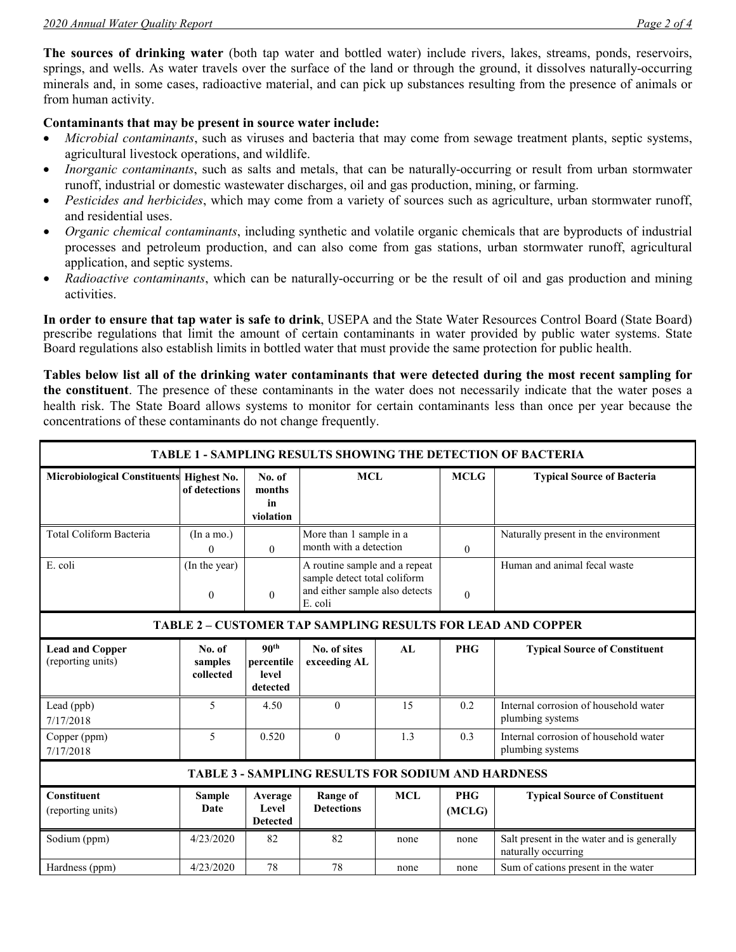**The sources of drinking water** (both tap water and bottled water) include rivers, lakes, streams, ponds, reservoirs, springs, and wells. As water travels over the surface of the land or through the ground, it dissolves naturally-occurring minerals and, in some cases, radioactive material, and can pick up substances resulting from the presence of animals or from human activity.

#### **Contaminants that may be present in source water include:**

- *Microbial contaminants*, such as viruses and bacteria that may come from sewage treatment plants, septic systems, agricultural livestock operations, and wildlife.
- *Inorganic contaminants*, such as salts and metals, that can be naturally-occurring or result from urban stormwater runoff, industrial or domestic wastewater discharges, oil and gas production, mining, or farming.
- *Pesticides and herbicides*, which may come from a variety of sources such as agriculture, urban stormwater runoff, and residential uses.
- *Organic chemical contaminants*, including synthetic and volatile organic chemicals that are byproducts of industrial processes and petroleum production, and can also come from gas stations, urban stormwater runoff, agricultural application, and septic systems.
- *Radioactive contaminants*, which can be naturally-occurring or be the result of oil and gas production and mining activities.

**In order to ensure that tap water is safe to drink**, USEPA and the State Water Resources Control Board (State Board) prescribe regulations that limit the amount of certain contaminants in water provided by public water systems. State Board regulations also establish limits in bottled water that must provide the same protection for public health.

**Tables below list all of the drinking water contaminants that were detected during the most recent sampling for the constituent**. The presence of these contaminants in the water does not necessarily indicate that the water poses a health risk. The State Board allows systems to monitor for certain contaminants less than once per year because the concentrations of these contaminants do not change frequently.

| <b>TABLE 1 - SAMPLING RESULTS SHOWING THE DETECTION OF BACTERIA</b> |                                |                                                     |                                                                                                            |            |                      |                                                                   |  |  |  |  |
|---------------------------------------------------------------------|--------------------------------|-----------------------------------------------------|------------------------------------------------------------------------------------------------------------|------------|----------------------|-------------------------------------------------------------------|--|--|--|--|
| <b>Microbiological Constituents</b>                                 | Highest No.<br>of detections   | No. of<br>months<br>in<br>violation                 | <b>MCL</b>                                                                                                 |            | <b>MCLG</b>          | <b>Typical Source of Bacteria</b>                                 |  |  |  |  |
| Total Coliform Bacteria                                             | (In a mo.)<br>$\Omega$         | $\theta$                                            | More than 1 sample in a<br>month with a detection                                                          |            | $\theta$             | Naturally present in the environment                              |  |  |  |  |
| E. coli                                                             | (In the year)<br>$\theta$      | $\theta$                                            | A routine sample and a repeat<br>sample detect total coliform<br>and either sample also detects<br>E. coli |            | $\theta$             | Human and animal fecal waste                                      |  |  |  |  |
| <b>TABLE 2 - CUSTOMER TAP SAMPLING RESULTS FOR LEAD AND COPPER</b>  |                                |                                                     |                                                                                                            |            |                      |                                                                   |  |  |  |  |
| <b>Lead and Copper</b><br>(reporting units)                         | No. of<br>samples<br>collected | 90 <sup>th</sup><br>percentile<br>level<br>detected | No. of sites<br>exceeding AL                                                                               | AI.        | <b>PHG</b>           | <b>Typical Source of Constituent</b>                              |  |  |  |  |
| Lead (ppb)<br>7/17/2018                                             | 5                              | 4.50                                                | $\theta$                                                                                                   | 15         | 0.2                  | Internal corrosion of household water<br>plumbing systems         |  |  |  |  |
| Copper (ppm)<br>7/17/2018                                           | 5                              | 0.520                                               | $\theta$                                                                                                   | 1.3        | 0.3                  | Internal corrosion of household water<br>plumbing systems         |  |  |  |  |
| <b>TABLE 3 - SAMPLING RESULTS FOR SODIUM AND HARDNESS</b>           |                                |                                                     |                                                                                                            |            |                      |                                                                   |  |  |  |  |
| <b>Constituent</b><br>(reporting units)                             | <b>Sample</b><br><b>Date</b>   | Average<br>Level<br><b>Detected</b>                 | <b>Range of</b><br><b>Detections</b>                                                                       | <b>MCL</b> | <b>PHG</b><br>(MCLG) | <b>Typical Source of Constituent</b>                              |  |  |  |  |
| Sodium (ppm)                                                        | 4/23/2020                      | 82                                                  | 82                                                                                                         | none       | none                 | Salt present in the water and is generally<br>naturally occurring |  |  |  |  |
| Hardness (ppm)                                                      | 4/23/2020                      | 78                                                  | 78                                                                                                         | none       | none                 | Sum of cations present in the water                               |  |  |  |  |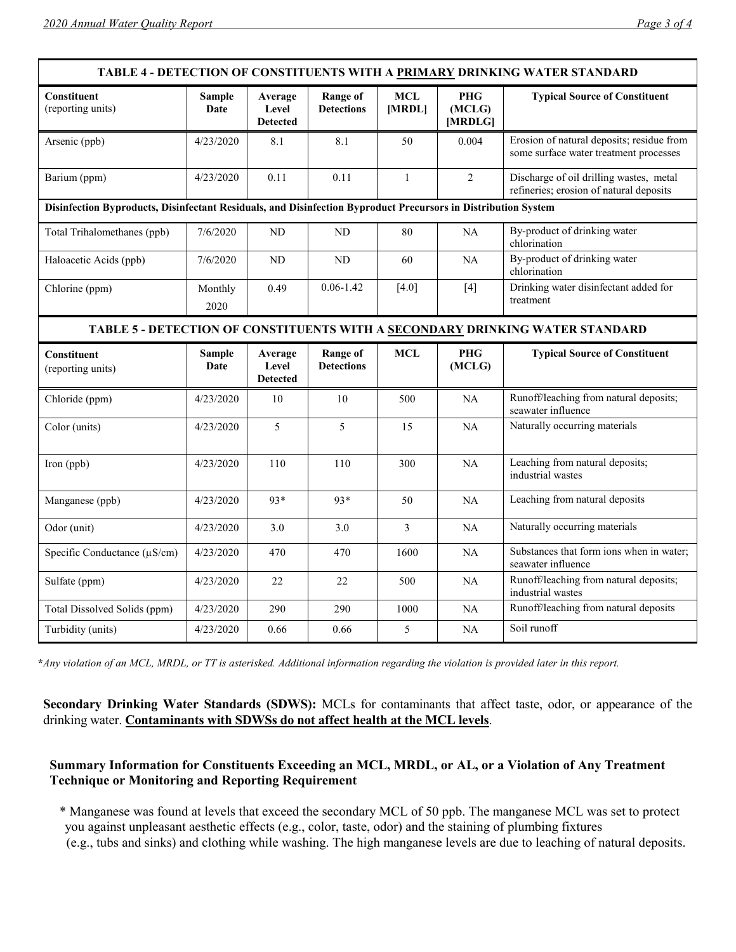| TABLE 4 - DETECTION OF CONSTITUENTS WITH A PRIMARY DRINKING WATER STANDARD                                    |                       |                                     |                                      |                      |                                 |                                                                                     |  |  |  |  |
|---------------------------------------------------------------------------------------------------------------|-----------------------|-------------------------------------|--------------------------------------|----------------------|---------------------------------|-------------------------------------------------------------------------------------|--|--|--|--|
| <b>Constituent</b><br>(reporting units)                                                                       | <b>Sample</b><br>Date | Average<br>Level<br><b>Detected</b> | Range of<br><b>Detections</b>        | <b>MCL</b><br>[MRDL] | <b>PHG</b><br>(MCLG)<br>[MRDLG] | <b>Typical Source of Constituent</b>                                                |  |  |  |  |
| Arsenic (ppb)                                                                                                 | 4/23/2020             | 8.1                                 | 8.1                                  | 50                   | 0.004                           | Erosion of natural deposits; residue from<br>some surface water treatment processes |  |  |  |  |
| Barium (ppm)                                                                                                  | 4/23/2020             | 0.11                                | 0.11                                 | $\mathbf{1}$         | $\overline{2}$                  | Discharge of oil drilling wastes, metal<br>refineries; erosion of natural deposits  |  |  |  |  |
| Disinfection Byproducts, Disinfectant Residuals, and Disinfection Byproduct Precursors in Distribution System |                       |                                     |                                      |                      |                                 |                                                                                     |  |  |  |  |
| Total Trihalomethanes (ppb)                                                                                   | 7/6/2020              | ND                                  | ND                                   | 80                   | <b>NA</b>                       | By-product of drinking water<br>chlorination                                        |  |  |  |  |
| Haloacetic Acids (ppb)                                                                                        | 7/6/2020              | ND                                  | <b>ND</b>                            | 60                   | NA                              | By-product of drinking water<br>chlorination                                        |  |  |  |  |
| Chlorine (ppm)                                                                                                | Monthly<br>2020       | 0.49                                | $0.06 - 1.42$                        | $[4.0]$              | $[4]$                           | Drinking water disinfectant added for<br>treatment                                  |  |  |  |  |
| TABLE 5 - DETECTION OF CONSTITUENTS WITH A SECONDARY DRINKING WATER STANDARD                                  |                       |                                     |                                      |                      |                                 |                                                                                     |  |  |  |  |
| Constituent<br>(reporting units)                                                                              | <b>Sample</b><br>Date | Average<br>Level<br><b>Detected</b> | <b>Range of</b><br><b>Detections</b> | <b>MCL</b>           | <b>PHG</b><br>(MCLG)            | <b>Typical Source of Constituent</b>                                                |  |  |  |  |
| Chloride (ppm)                                                                                                | 4/23/2020             | 10                                  | 10                                   | 500                  | NA                              | Runoff/leaching from natural deposits;<br>seawater influence                        |  |  |  |  |
| Color (units)                                                                                                 | 4/23/2020             | 5                                   | 5                                    | 15                   | NA                              | Naturally occurring materials                                                       |  |  |  |  |
| Iron (ppb)                                                                                                    | 4/23/2020             | 110                                 | 110                                  | 300                  | <b>NA</b>                       | Leaching from natural deposits;<br>industrial wastes                                |  |  |  |  |
| Manganese (ppb)                                                                                               | 4/23/2020             | 93*                                 | 93*                                  | 50                   | NA                              | Leaching from natural deposits                                                      |  |  |  |  |
| Odor (unit)                                                                                                   | 4/23/2020             | 3.0                                 | 3.0                                  | 3                    | NA                              | Naturally occurring materials                                                       |  |  |  |  |
| Specific Conductance (µS/cm)                                                                                  | 4/23/2020             | 470                                 | 470                                  | 1600                 | NA                              | Substances that form ions when in water;<br>seawater influence                      |  |  |  |  |
| Sulfate (ppm)                                                                                                 | 4/23/2020             | 22                                  | 22                                   | 500                  | NA                              | Runoff/leaching from natural deposits;<br>industrial wastes                         |  |  |  |  |
| Total Dissolved Solids (ppm)                                                                                  | 4/23/2020             | 290                                 | 290                                  | 1000                 | NA                              | Runoff/leaching from natural deposits                                               |  |  |  |  |
| Turbidity (units)                                                                                             | 4/23/2020             | 0.66                                | 0.66                                 | 5                    | NA                              | Soil runoff                                                                         |  |  |  |  |

**\****Any violation of an MCL, MRDL, or TT is asterisked. Additional information regarding the violation is provided later in this report.*

**Secondary Drinking Water Standards (SDWS):** MCLs for contaminants that affect taste, odor, or appearance of the drinking water. **Contaminants with SDWSs do not affect health at the MCL levels**.

#### **Summary Information for Constituents Exceeding an MCL, MRDL, or AL, or a Violation of Any Treatment Technique or Monitoring and Reporting Requirement**

\* Manganese was found at levels that exceed the secondary MCL of 50 ppb. The manganese MCL was set to protect you against unpleasant aesthetic effects (e.g., color, taste, odor) and the staining of plumbing fixtures

(e.g., tubs and sinks) and clothing while washing. The high manganese levels are due to leaching of natural deposits.